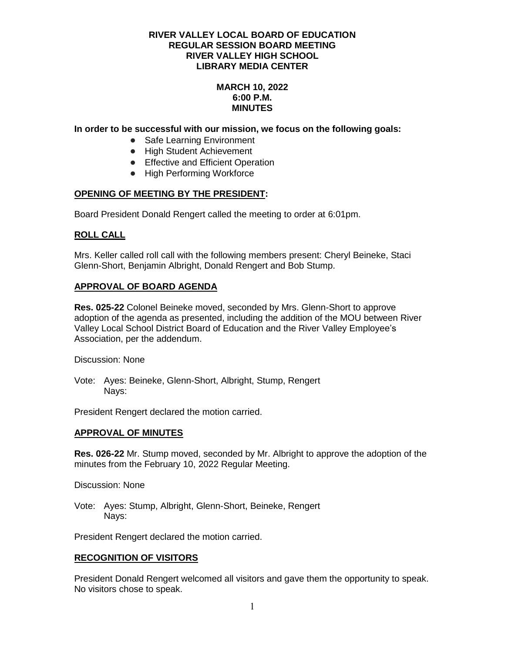# **MARCH 10, 2022 6:00 P.M. MINUTES**

#### **In order to be successful with our mission, we focus on the following goals:**

- Safe Learning Environment
- High Student Achievement
- Effective and Efficient Operation
- High Performing Workforce

#### **OPENING OF MEETING BY THE PRESIDENT:**

Board President Donald Rengert called the meeting to order at 6:01pm.

#### **ROLL CALL**

Mrs. Keller called roll call with the following members present: Cheryl Beineke, Staci Glenn-Short, Benjamin Albright, Donald Rengert and Bob Stump.

#### **APPROVAL OF BOARD AGENDA**

**Res. 025-22** Colonel Beineke moved, seconded by Mrs. Glenn-Short to approve adoption of the agenda as presented, including the addition of the MOU between River Valley Local School District Board of Education and the River Valley Employee's Association, per the addendum.

Discussion: None

Vote: Ayes: Beineke, Glenn-Short, Albright, Stump, Rengert Navs:

President Rengert declared the motion carried.

#### **APPROVAL OF MINUTES**

**Res. 026-22** Mr. Stump moved, seconded by Mr. Albright to approve the adoption of the minutes from the February 10, 2022 Regular Meeting.

Discussion: None

Vote: Ayes: Stump, Albright, Glenn-Short, Beineke, Rengert Nays:

President Rengert declared the motion carried.

#### **RECOGNITION OF VISITORS**

President Donald Rengert welcomed all visitors and gave them the opportunity to speak. No visitors chose to speak.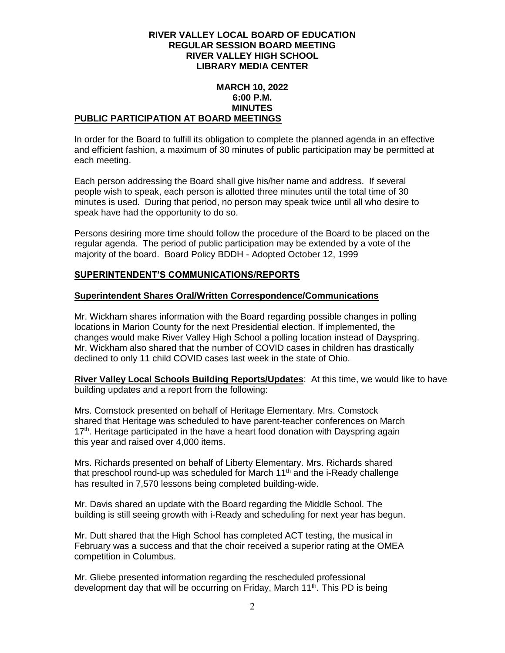#### **MARCH 10, 2022 6:00 P.M. MINUTES PUBLIC PARTICIPATION AT BOARD MEETINGS**

In order for the Board to fulfill its obligation to complete the planned agenda in an effective and efficient fashion, a maximum of 30 minutes of public participation may be permitted at each meeting.

Each person addressing the Board shall give his/her name and address. If several people wish to speak, each person is allotted three minutes until the total time of 30 minutes is used. During that period, no person may speak twice until all who desire to speak have had the opportunity to do so.

Persons desiring more time should follow the procedure of the Board to be placed on the regular agenda. The period of public participation may be extended by a vote of the majority of the board. Board Policy BDDH - Adopted October 12, 1999

# **SUPERINTENDENT'S COMMUNICATIONS/REPORTS**

# **Superintendent Shares Oral/Written Correspondence/Communications**

Mr. Wickham shares information with the Board regarding possible changes in polling locations in Marion County for the next Presidential election. If implemented, the changes would make River Valley High School a polling location instead of Dayspring. Mr. Wickham also shared that the number of COVID cases in children has drastically declined to only 11 child COVID cases last week in the state of Ohio.

**River Valley Local Schools Building Reports/Updates**: At this time, we would like to have building updates and a report from the following:

Mrs. Comstock presented on behalf of Heritage Elementary. Mrs. Comstock shared that Heritage was scheduled to have parent-teacher conferences on March 17<sup>th</sup>. Heritage participated in the have a heart food donation with Dayspring again this year and raised over 4,000 items.

Mrs. Richards presented on behalf of Liberty Elementary. Mrs. Richards shared that preschool round-up was scheduled for March  $11<sup>th</sup>$  and the i-Ready challenge has resulted in 7,570 lessons being completed building-wide.

Mr. Davis shared an update with the Board regarding the Middle School. The building is still seeing growth with i-Ready and scheduling for next year has begun.

Mr. Dutt shared that the High School has completed ACT testing, the musical in February was a success and that the choir received a superior rating at the OMEA competition in Columbus.

Mr. Gliebe presented information regarding the rescheduled professional development day that will be occurring on Friday, March 11<sup>th</sup>. This PD is being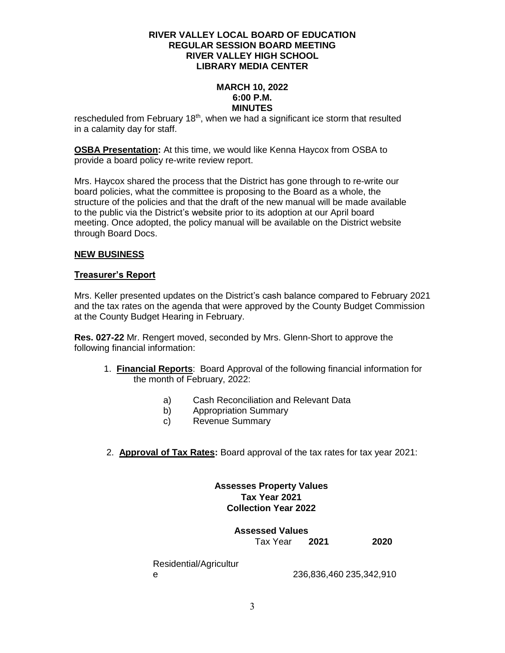#### **MARCH 10, 2022 6:00 P.M. MINUTES**

rescheduled from February  $18<sup>th</sup>$ , when we had a significant ice storm that resulted in a calamity day for staff.

**OSBA Presentation:** At this time, we would like Kenna Haycox from OSBA to provide a board policy re-write review report.

Mrs. Haycox shared the process that the District has gone through to re-write our board policies, what the committee is proposing to the Board as a whole, the structure of the policies and that the draft of the new manual will be made available to the public via the District's website prior to its adoption at our April board meeting. Once adopted, the policy manual will be available on the District website through Board Docs.

# **NEW BUSINESS**

#### **Treasurer's Report**

Mrs. Keller presented updates on the District's cash balance compared to February 2021 and the tax rates on the agenda that were approved by the County Budget Commission at the County Budget Hearing in February.

**Res. 027-22** Mr. Rengert moved, seconded by Mrs. Glenn-Short to approve the following financial information:

- 1. **Financial Reports**: Board Approval of the following financial information for the month of February, 2022:
	- a) Cash Reconciliation and Relevant Data
	- b) Appropriation Summary
	- c) Revenue Summary
- 2. **Approval of Tax Rates:** Board approval of the tax rates for tax year 2021:

# **Assesses Property Values Tax Year 2021 Collection Year 2022**

**Assessed Values** Tax Year **2021 2020**

Residential/Agricultur

e 236,836,460 235,342,910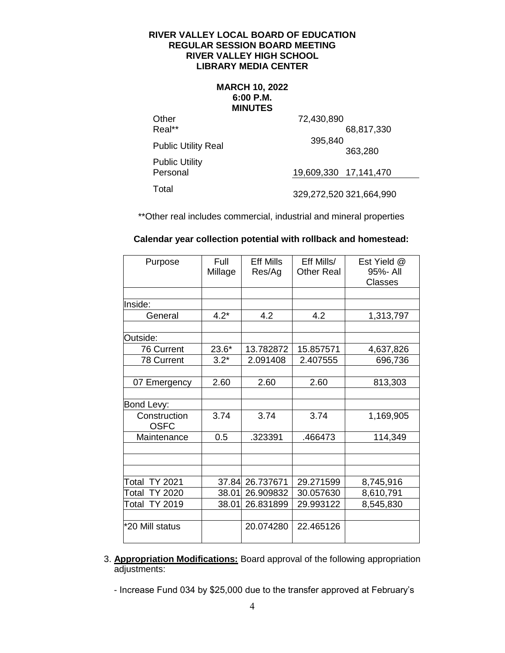#### **MARCH 10, 2022 6:00 P.M. MINUTES**

**Other** Real\*\*

 72,430,890 68,817,330 Public Utility Real 395,840 363,280

Public Utility Personal

19,609,330 17,141,470

Total 329,272,520 321,664,990

\*\*Other real includes commercial, industrial and mineral properties

| Purpose                     | Full<br>Millage | <b>Eff Mills</b><br>Res/Ag | Eff Mills/<br><b>Other Real</b> | Est Yield @<br>95%- All<br>Classes |
|-----------------------------|-----------------|----------------------------|---------------------------------|------------------------------------|
|                             |                 |                            |                                 |                                    |
| Inside:                     |                 |                            |                                 |                                    |
| General                     | $4.2*$          | 4.2                        | 4.2                             | 1,313,797                          |
| Outside:                    |                 |                            |                                 |                                    |
| 76 Current                  | $23.6*$         | 13.782872                  | 15.857571                       | 4,637,826                          |
| 78 Current                  | $3.2*$          | 2.091408                   | 2.407555                        | 696,736                            |
|                             |                 |                            |                                 |                                    |
| 07 Emergency                | 2.60            | 2.60                       | 2.60                            | 813,303                            |
| Bond Levy:                  |                 |                            |                                 |                                    |
| Construction<br><b>OSFC</b> | 3.74            | 3.74                       | 3.74                            | 1,169,905                          |
| Maintenance                 | 0.5             | .323391                    | .466473                         | 114,349                            |
|                             |                 |                            |                                 |                                    |
|                             |                 |                            |                                 |                                    |
| Total TY 2021               |                 | 37.84 26.737671            | 29.271599                       | 8,745,916                          |
| TY 2020<br>Total            | 38.01           | 26.909832                  | 30.057630                       | 8,610,791                          |
| <b>TY 2019</b><br>Total     | 38.01           | 26.831899                  | 29.993122                       | 8,545,830                          |
|                             |                 |                            |                                 |                                    |
| *20 Mill status             |                 | 20.074280                  | 22.465126                       |                                    |

**Calendar year collection potential with rollback and homestead:**

3. **Appropriation Modifications:** Board approval of the following appropriation adjustments:

 <sup>-</sup> Increase Fund 034 by \$25,000 due to the transfer approved at February's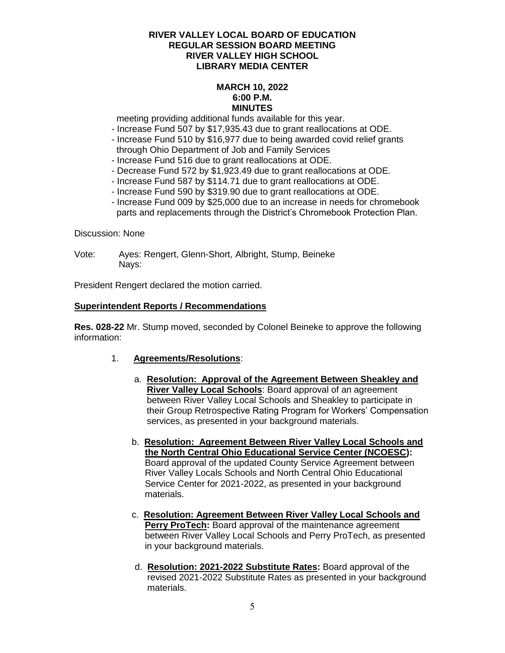#### **MARCH 10, 2022 6:00 P.M. MINUTES**

meeting providing additional funds available for this year.

- Increase Fund 507 by \$17,935.43 due to grant reallocations at ODE.
- Increase Fund 510 by \$16,977 due to being awarded covid relief grants through Ohio Department of Job and Family Services
- Increase Fund 516 due to grant reallocations at ODE.
- Decrease Fund 572 by \$1,923.49 due to grant reallocations at ODE.
- Increase Fund 587 by \$114.71 due to grant reallocations at ODE.
- Increase Fund 590 by \$319.90 due to grant reallocations at ODE.
- Increase Fund 009 by \$25,000 due to an increase in needs for chromebook parts and replacements through the District's Chromebook Protection Plan.

Discussion: None

Vote: Ayes: Rengert, Glenn-Short, Albright, Stump, Beineke Nays:

President Rengert declared the motion carried.

#### **Superintendent Reports / Recommendations**

**Res. 028-22** Mr. Stump moved, seconded by Colonel Beineke to approve the following information:

- 1. **Agreements/Resolutions**:
	- a. **Resolution: Approval of the Agreement Between Sheakley and River Valley Local Schools**: Board approval of an agreement between River Valley Local Schools and Sheakley to participate in their Group Retrospective Rating Program for Workers' Compensation services, as presented in your background materials.
	- b. **Resolution: Agreement Between River Valley Local Schools and the North Central Ohio Educational Service Center (NCOESC):** Board approval of the updated County Service Agreement between River Valley Locals Schools and North Central Ohio Educational Service Center for 2021-2022, as presented in your background materials.
	- c. **Resolution: Agreement Between River Valley Local Schools and Perry ProTech:** Board approval of the maintenance agreement between River Valley Local Schools and Perry ProTech, as presented in your background materials.
	- d. **Resolution: 2021-2022 Substitute Rates:** Board approval of the revised 2021-2022 Substitute Rates as presented in your background materials.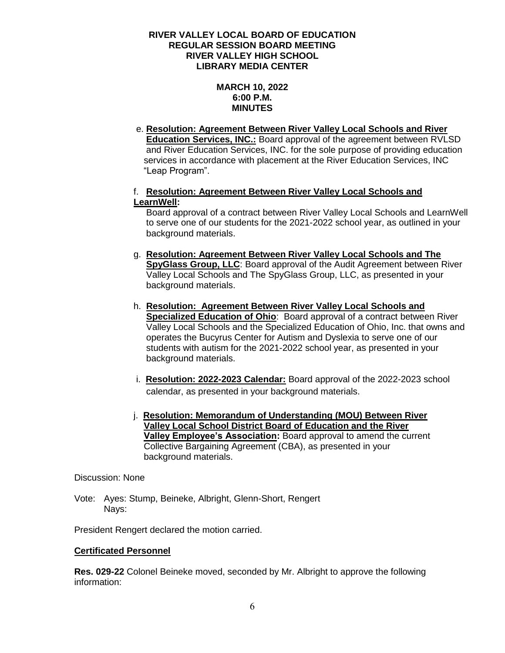# **MARCH 10, 2022 6:00 P.M. MINUTES**

e. **Resolution: Agreement Between River Valley Local Schools and River Education Services, INC.:** Board approval of the agreement between RVLSD and River Education Services, INC. for the sole purpose of providing education services in accordance with placement at the River Education Services, INC "Leap Program".

# f. **Resolution: Agreement Between River Valley Local Schools and LearnWell:**

 Board approval of a contract between River Valley Local Schools and LearnWell to serve one of our students for the 2021-2022 school year, as outlined in your background materials.

- g. **Resolution: Agreement Between River Valley Local Schools and The SpyGlass Group, LLC**: Board approval of the Audit Agreement between River Valley Local Schools and The SpyGlass Group, LLC, as presented in your background materials.
- h. **Resolution: Agreement Between River Valley Local Schools and Specialized Education of Ohio**: Board approval of a contract between River Valley Local Schools and the Specialized Education of Ohio, Inc. that owns and operates the Bucyrus Center for Autism and Dyslexia to serve one of our students with autism for the 2021-2022 school year, as presented in your background materials.
- i. **Resolution: 2022-2023 Calendar:** Board approval of the 2022-2023 school calendar, as presented in your background materials.
- j. **Resolution: Memorandum of Understanding (MOU) Between River Valley Local School District Board of Education and the River Valley Employee's Association:** Board approval to amend the current Collective Bargaining Agreement (CBA), as presented in your background materials.

# Discussion: None

Vote: Ayes: Stump, Beineke, Albright, Glenn-Short, Rengert Navs:

President Rengert declared the motion carried.

# **Certificated Personnel**

**Res. 029-22** Colonel Beineke moved, seconded by Mr. Albright to approve the following information: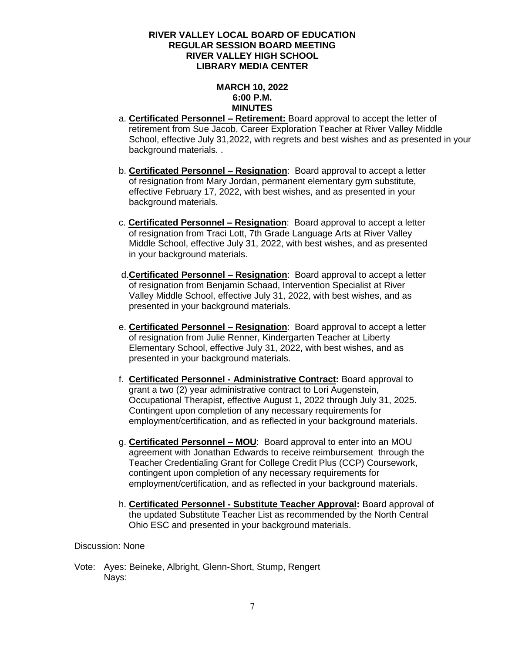# **MARCH 10, 2022 6:00 P.M. MINUTES**

- a. **Certificated Personnel – Retirement:** Board approval to accept the letter of retirement from Sue Jacob, Career Exploration Teacher at River Valley Middle School, effective July 31,2022, with regrets and best wishes and as presented in your background materials. .
- b. **Certificated Personnel – Resignation**: Board approval to accept a letter of resignation from Mary Jordan, permanent elementary gym substitute, effective February 17, 2022, with best wishes, and as presented in your background materials.
- c. **Certificated Personnel – Resignation**: Board approval to accept a letter of resignation from Traci Lott, 7th Grade Language Arts at River Valley Middle School, effective July 31, 2022, with best wishes, and as presented in your background materials.
- d.**Certificated Personnel – Resignation**: Board approval to accept a letter of resignation from Benjamin Schaad, Intervention Specialist at River Valley Middle School, effective July 31, 2022, with best wishes, and as presented in your background materials.
- e. **Certificated Personnel – Resignation**: Board approval to accept a letter of resignation from Julie Renner, Kindergarten Teacher at Liberty Elementary School, effective July 31, 2022, with best wishes, and as presented in your background materials.
- f. **Certificated Personnel - Administrative Contract:** Board approval to grant a two (2) year administrative contract to Lori Augenstein, Occupational Therapist, effective August 1, 2022 through July 31, 2025. Contingent upon completion of any necessary requirements for employment/certification, and as reflected in your background materials.
- g. **Certificated Personnel – MOU**: Board approval to enter into an MOU agreement with Jonathan Edwards to receive reimbursement through the Teacher Credentialing Grant for College Credit Plus (CCP) Coursework, contingent upon completion of any necessary requirements for employment/certification, and as reflected in your background materials.
- h. **Certificated Personnel - Substitute Teacher Approval:** Board approval of the updated Substitute Teacher List as recommended by the North Central Ohio ESC and presented in your background materials.

# Discussion: None

Vote: Ayes: Beineke, Albright, Glenn-Short, Stump, Rengert Nays: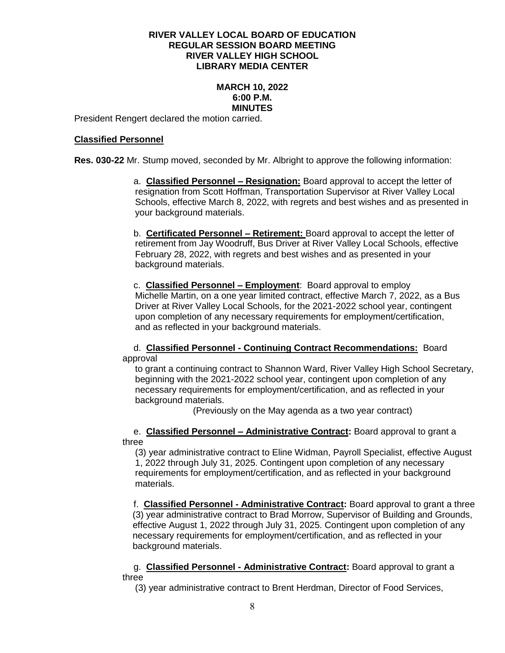# **MARCH 10, 2022 6:00 P.M. MINUTES**

President Rengert declared the motion carried.

#### **Classified Personnel**

**Res. 030-22** Mr. Stump moved, seconded by Mr. Albright to approve the following information:

a. **Classified Personnel – Resignation:** Board approval to accept the letter of resignation from Scott Hoffman, Transportation Supervisor at River Valley Local Schools, effective March 8, 2022, with regrets and best wishes and as presented in your background materials.

b. **Certificated Personnel – Retirement:** Board approval to accept the letter of retirement from Jay Woodruff, Bus Driver at River Valley Local Schools, effective February 28, 2022, with regrets and best wishes and as presented in your background materials.

c. **Classified Personnel – Employment**: Board approval to employ Michelle Martin, on a one year limited contract, effective March 7, 2022, as a Bus Driver at River Valley Local Schools, for the 2021-2022 school year, contingent upon completion of any necessary requirements for employment/certification, and as reflected in your background materials.

d. **Classified Personnel - Continuing Contract Recommendations:** Board approval

 to grant a continuing contract to Shannon Ward, River Valley High School Secretary, beginning with the 2021-2022 school year, contingent upon completion of any necessary requirements for employment/certification, and as reflected in your background materials.

(Previously on the May agenda as a two year contract)

e. **Classified Personnel – Administrative Contract:** Board approval to grant a three

 (3) year administrative contract to Eline Widman, Payroll Specialist, effective August 1, 2022 through July 31, 2025. Contingent upon completion of any necessary requirements for employment/certification, and as reflected in your background materials.

f. **Classified Personnel - Administrative Contract:** Board approval to grant a three (3) year administrative contract to Brad Morrow, Supervisor of Building and Grounds, effective August 1, 2022 through July 31, 2025. Contingent upon completion of any necessary requirements for employment/certification, and as reflected in your background materials.

g. **Classified Personnel - Administrative Contract:** Board approval to grant a three

(3) year administrative contract to Brent Herdman, Director of Food Services,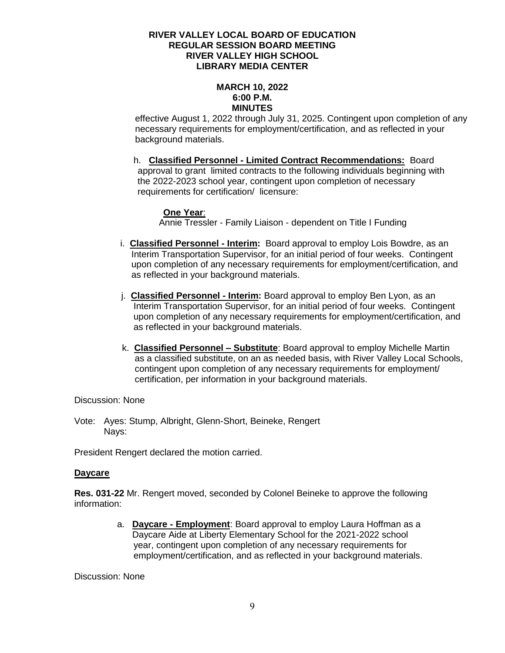#### **MARCH 10, 2022 6:00 P.M. MINUTES**

 effective August 1, 2022 through July 31, 2025. Contingent upon completion of any necessary requirements for employment/certification, and as reflected in your background materials.

h. **Classified Personnel - Limited Contract Recommendations:** Board approval to grant limited contracts to the following individuals beginning with the 2022-2023 school year, contingent upon completion of necessary requirements for certification/ licensure:

# **One Year**:

Annie Tressler - Family Liaison - dependent on Title I Funding

- i. **Classified Personnel - Interim:** Board approval to employ Lois Bowdre, as an Interim Transportation Supervisor, for an initial period of four weeks. Contingent upon completion of any necessary requirements for employment/certification, and as reflected in your background materials.
- j. **Classified Personnel - Interim:** Board approval to employ Ben Lyon, as an Interim Transportation Supervisor, for an initial period of four weeks. Contingent upon completion of any necessary requirements for employment/certification, and as reflected in your background materials.
- k. **Classified Personnel – Substitute**: Board approval to employ Michelle Martin as a classified substitute, on an as needed basis, with River Valley Local Schools, contingent upon completion of any necessary requirements for employment/ certification, per information in your background materials.

Discussion: None

Vote: Ayes: Stump, Albright, Glenn-Short, Beineke, Rengert Nays:

President Rengert declared the motion carried.

#### **Daycare**

**Res. 031-22** Mr. Rengert moved, seconded by Colonel Beineke to approve the following information:

> a. **Daycare - Employment**: Board approval to employ Laura Hoffman as a Daycare Aide at Liberty Elementary School for the 2021-2022 school year, contingent upon completion of any necessary requirements for employment/certification, and as reflected in your background materials.

Discussion: None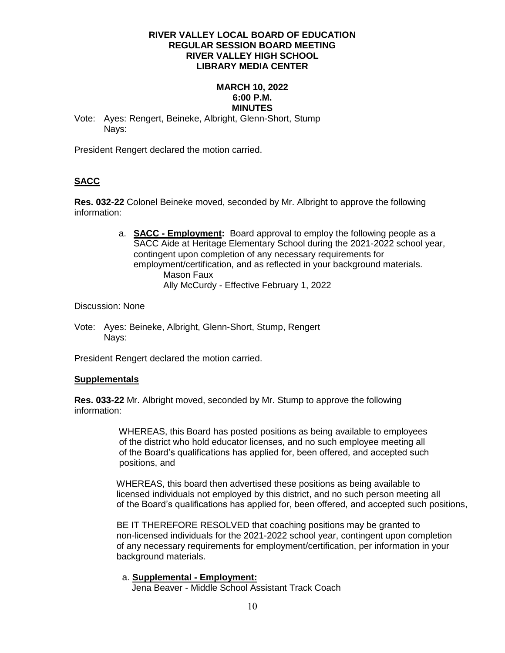# **MARCH 10, 2022 6:00 P.M. MINUTES**

Vote: Ayes: Rengert, Beineke, Albright, Glenn-Short, Stump Nays:

President Rengert declared the motion carried.

# **SACC**

**Res. 032-22** Colonel Beineke moved, seconded by Mr. Albright to approve the following information:

> a. **SACC - Employment:** Board approval to employ the following people as a SACC Aide at Heritage Elementary School during the 2021-2022 school year, contingent upon completion of any necessary requirements for employment/certification, and as reflected in your background materials. Mason Faux Ally McCurdy - Effective February 1, 2022

#### Discussion: None

Vote: Ayes: Beineke, Albright, Glenn-Short, Stump, Rengert Navs:

President Rengert declared the motion carried.

# **Supplementals**

**Res. 033-22** Mr. Albright moved, seconded by Mr. Stump to approve the following information:

> WHEREAS, this Board has posted positions as being available to employees of the district who hold educator licenses, and no such employee meeting all of the Board's qualifications has applied for, been offered, and accepted such positions, and

 WHEREAS, this board then advertised these positions as being available to licensed individuals not employed by this district, and no such person meeting all of the Board's qualifications has applied for, been offered, and accepted such positions,

 BE IT THEREFORE RESOLVED that coaching positions may be granted to non-licensed individuals for the 2021-2022 school year, contingent upon completion of any necessary requirements for employment/certification, per information in your background materials.

# a. **Supplemental - Employment:**

Jena Beaver - Middle School Assistant Track Coach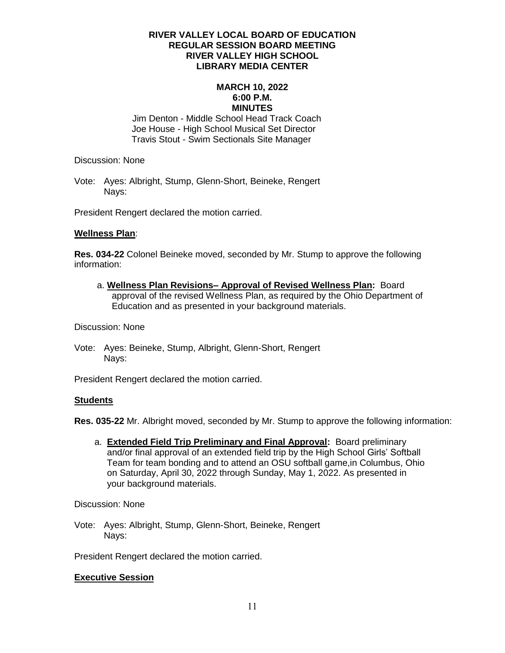#### **MARCH 10, 2022 6:00 P.M. MINUTES**

 Jim Denton - Middle School Head Track Coach Joe House - High School Musical Set Director Travis Stout - Swim Sectionals Site Manager

Discussion: None

Vote: Ayes: Albright, Stump, Glenn-Short, Beineke, Rengert Nays:

President Rengert declared the motion carried.

# **Wellness Plan**:

**Res. 034-22** Colonel Beineke moved, seconded by Mr. Stump to approve the following information:

 a. **Wellness Plan Revisions– Approval of Revised Wellness Plan:** Board approval of the revised Wellness Plan, as required by the Ohio Department of Education and as presented in your background materials.

Discussion: None

Vote: Ayes: Beineke, Stump, Albright, Glenn-Short, Rengert Nays:

President Rengert declared the motion carried.

#### **Students**

**Res. 035-22** Mr. Albright moved, seconded by Mr. Stump to approve the following information:

 a. **Extended Field Trip Preliminary and Final Approval:** Board preliminary and/or final approval of an extended field trip by the High School Girls' Softball Team for team bonding and to attend an OSU softball game,in Columbus, Ohio on Saturday, April 30, 2022 through Sunday, May 1, 2022. As presented in your background materials.

Discussion: None

Vote: Ayes: Albright, Stump, Glenn-Short, Beineke, Rengert Nays:

President Rengert declared the motion carried.

# **Executive Session**